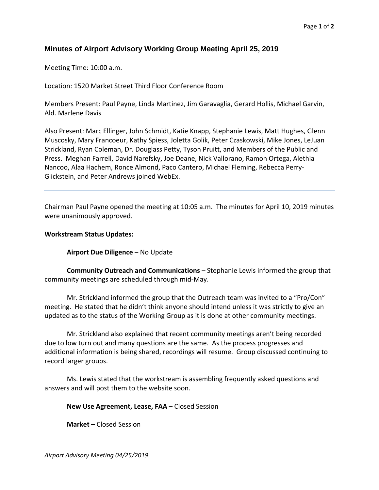## **Minutes of Airport Advisory Working Group Meeting April 25, 2019**

Meeting Time: 10:00 a.m.

Location: 1520 Market Street Third Floor Conference Room

Members Present: Paul Payne, Linda Martinez, Jim Garavaglia, Gerard Hollis, Michael Garvin, Ald. Marlene Davis

Also Present: Marc Ellinger, John Schmidt, Katie Knapp, Stephanie Lewis, Matt Hughes, Glenn Muscosky, Mary Francoeur, Kathy Spiess, Joletta Golik, Peter Czaskowski, Mike Jones, LeJuan Strickland, Ryan Coleman, Dr. Douglass Petty, Tyson Pruitt, and Members of the Public and Press. Meghan Farrell, David Narefsky, Joe Deane, Nick Vallorano, Ramon Ortega, Alethia Nancoo, Alaa Hachem, Ronce Almond, Paco Cantero, Michael Fleming, Rebecca Perry‐ Glickstein, and Peter Andrews joined WebEx.

<u> 1989 - Andrea Santa Andrea Andrea Andrea Andrea Andrea Andrea Andrea Andrea Andrea Andrea Andrea Andrea Andr</u>

Chairman Paul Payne opened the meeting at 10:05 a.m. The minutes for April 10, 2019 minutes were unanimously approved.

## **Workstream Status Updates:**

**Airport Due Diligence** – No Update

**Community Outreach and Communications** – Stephanie Lewis informed the group that community meetings are scheduled through mid‐May.

Mr. Strickland informed the group that the Outreach team was invited to a "Pro/Con" meeting. He stated that he didn't think anyone should intend unless it was strictly to give an updated as to the status of the Working Group as it is done at other community meetings.

Mr. Strickland also explained that recent community meetings aren't being recorded due to low turn out and many questions are the same. As the process progresses and additional information is being shared, recordings will resume. Group discussed continuing to record larger groups.

Ms. Lewis stated that the workstream is assembling frequently asked questions and answers and will post them to the website soon.

## **New Use Agreement, Lease, FAA** – Closed Session

**Market –** Closed Session